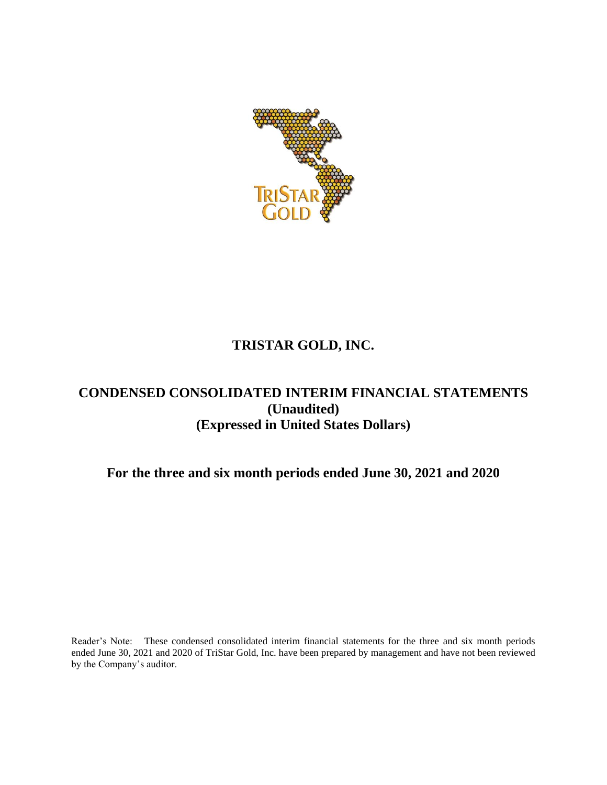

# **TRISTAR GOLD, INC.**

# **CONDENSED CONSOLIDATED INTERIM FINANCIAL STATEMENTS (Unaudited) (Expressed in United States Dollars)**

## **For the three and six month periods ended June 30, 2021 and 2020**

Reader's Note: These condensed consolidated interim financial statements for the three and six month periods ended June 30, 2021 and 2020 of TriStar Gold, Inc. have been prepared by management and have not been reviewed by the Company's auditor.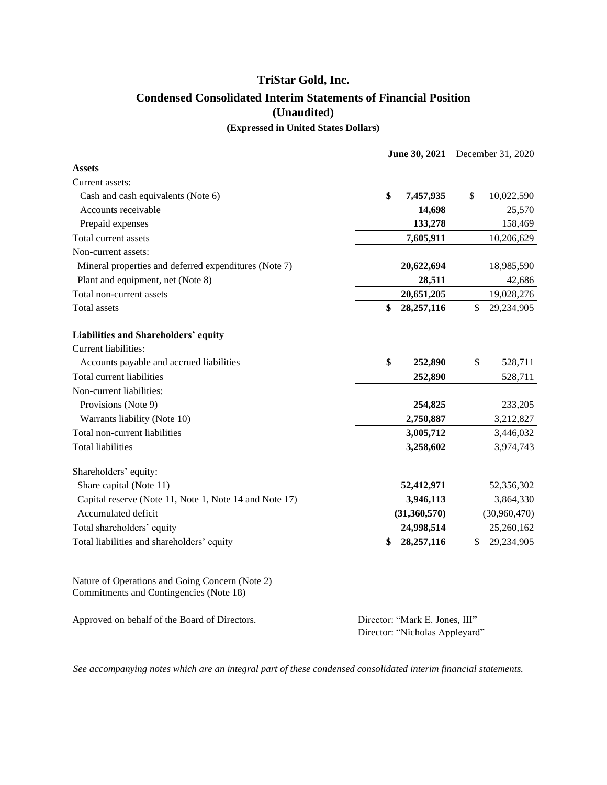## **TriStar Gold, Inc. Condensed Consolidated Interim Statements of Financial Position (Unaudited) (Expressed in United States Dollars)**

|                                                                                            | June 30, 2021    | December 31, 2020 |
|--------------------------------------------------------------------------------------------|------------------|-------------------|
| <b>Assets</b>                                                                              |                  |                   |
| Current assets:                                                                            |                  |                   |
| Cash and cash equivalents (Note 6)                                                         | \$<br>7,457,935  | \$<br>10,022,590  |
| Accounts receivable                                                                        | 14,698           | 25,570            |
| Prepaid expenses                                                                           | 133,278          | 158,469           |
| Total current assets                                                                       | 7,605,911        | 10,206,629        |
| Non-current assets:                                                                        |                  |                   |
| Mineral properties and deferred expenditures (Note 7)                                      | 20,622,694       | 18,985,590        |
| Plant and equipment, net (Note 8)                                                          | 28,511           | 42,686            |
| Total non-current assets                                                                   | 20,651,205       | 19,028,276        |
| Total assets                                                                               | \$<br>28,257,116 | \$<br>29,234,905  |
| Liabilities and Shareholders' equity                                                       |                  |                   |
| Current liabilities:                                                                       |                  |                   |
| Accounts payable and accrued liabilities                                                   | \$<br>252,890    | \$<br>528,711     |
| Total current liabilities                                                                  | 252,890          | 528,711           |
| Non-current liabilities:                                                                   |                  |                   |
| Provisions (Note 9)                                                                        | 254,825          | 233,205           |
| Warrants liability (Note 10)                                                               | 2,750,887        | 3,212,827         |
| Total non-current liabilities                                                              | 3,005,712        | 3,446,032         |
| <b>Total liabilities</b>                                                                   | 3,258,602        | 3,974,743         |
| Shareholders' equity:                                                                      |                  |                   |
| Share capital (Note 11)                                                                    | 52,412,971       | 52,356,302        |
| Capital reserve (Note 11, Note 1, Note 14 and Note 17)                                     | 3,946,113        | 3,864,330         |
| Accumulated deficit                                                                        | (31,360,570)     | (30,960,470)      |
| Total shareholders' equity                                                                 | 24,998,514       | 25,260,162        |
| Total liabilities and shareholders' equity                                                 | \$<br>28,257,116 | \$<br>29,234,905  |
|                                                                                            |                  |                   |
| Nature of Operations and Going Concern (Note 2)<br>Commitments and Contingencies (Note 18) |                  |                   |

Approved on behalf of the Board of Directors. Director: "Mark E. Jones, III"

Director: "Nicholas Appleyard"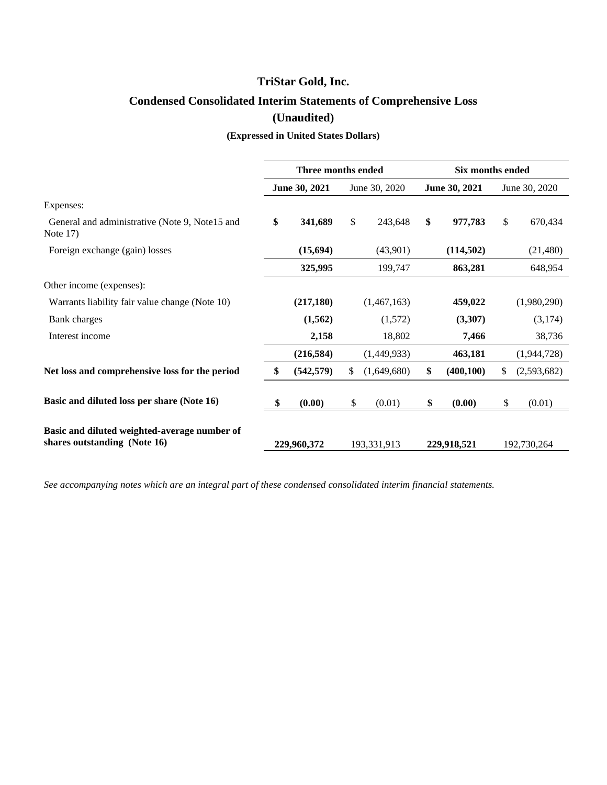# **Condensed Consolidated Interim Statements of Comprehensive Loss (Unaudited)**

#### **(Expressed in United States Dollars)**

|                                                                              |    | Three months ended |               |             | Six months ended |               |              |               |  |
|------------------------------------------------------------------------------|----|--------------------|---------------|-------------|------------------|---------------|--------------|---------------|--|
|                                                                              |    | June 30, 2021      | June 30, 2020 |             |                  | June 30, 2021 |              | June 30, 2020 |  |
| Expenses:                                                                    |    |                    |               |             |                  |               |              |               |  |
| General and administrative (Note 9, Note 15 and<br>Note $17)$                | \$ | 341,689            | \$            | 243,648     | \$               | 977,783       | $\mathbb{S}$ | 670,434       |  |
| Foreign exchange (gain) losses                                               |    | (15,694)           |               | (43,901)    |                  | (114, 502)    |              | (21,480)      |  |
|                                                                              |    | 325,995            |               | 199,747     |                  | 863,281       |              | 648,954       |  |
| Other income (expenses):                                                     |    |                    |               |             |                  |               |              |               |  |
| Warrants liability fair value change (Note 10)                               |    | (217, 180)         |               | (1,467,163) |                  | 459,022       |              | (1,980,290)   |  |
| Bank charges                                                                 |    | (1, 562)           |               | (1,572)     |                  | (3,307)       |              | (3,174)       |  |
| Interest income                                                              |    | 2,158              |               | 18,802      |                  | 7,466         |              | 38,736        |  |
|                                                                              |    | (216,584)          |               | (1,449,933) |                  | 463,181       |              | (1,944,728)   |  |
| Net loss and comprehensive loss for the period                               | \$ | (542, 579)         | \$            | (1,649,680) | \$               | (400, 100)    | \$           | (2,593,682)   |  |
| Basic and diluted loss per share (Note 16)                                   | -S | (0.00)             | \$            | (0.01)      | \$               | (0.00)        | \$           | (0.01)        |  |
| Basic and diluted weighted-average number of<br>shares outstanding (Note 16) |    | 229,960,372        |               | 193,331,913 |                  | 229,918,521   |              | 192,730,264   |  |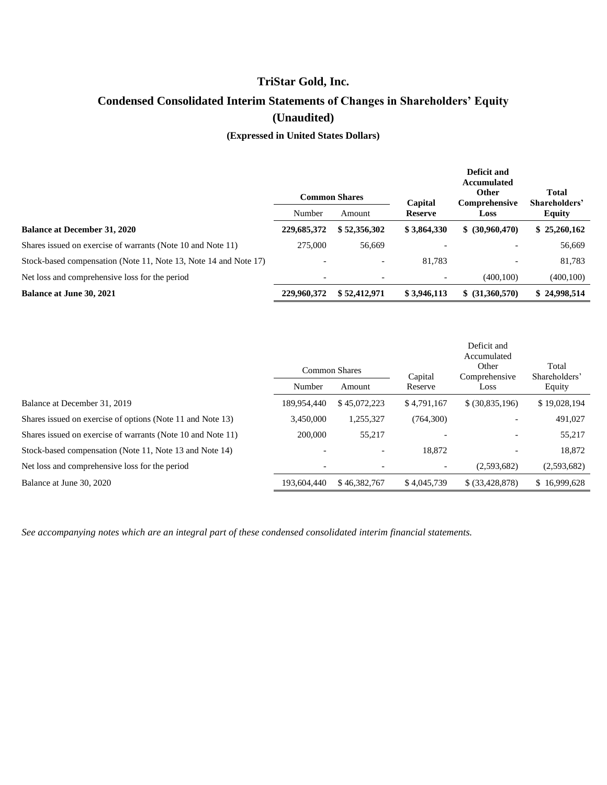# **Condensed Consolidated Interim Statements of Changes in Shareholders' Equity (Unaudited)**

**(Expressed in United States Dollars)**

|                                                                  |             | <b>Common Shares</b> | Capital        | Deficit and<br>Accumulated<br><b>Other</b><br>Comprehensive | <b>Total</b><br>Shareholders' |  |
|------------------------------------------------------------------|-------------|----------------------|----------------|-------------------------------------------------------------|-------------------------------|--|
|                                                                  | Number      | Amount               | <b>Reserve</b> | Loss                                                        | <b>Equity</b>                 |  |
| <b>Balance at December 31, 2020</b>                              | 229,685,372 | \$52,356,302         | \$3,864,330    | \$ (30,960,470)                                             | \$25,260,162                  |  |
| Shares issued on exercise of warrants (Note 10 and Note 11)      | 275,000     | 56,669               |                |                                                             | 56,669                        |  |
| Stock-based compensation (Note 11, Note 13, Note 14 and Note 17) |             |                      | 81.783         |                                                             | 81,783                        |  |
| Net loss and comprehensive loss for the period                   |             |                      |                | (400.100)                                                   | (400, 100)                    |  |
| <b>Balance at June 30, 2021</b>                                  | 229,960,372 | \$52,412,971         | \$3,946,113    | \$ (31,360,570)                                             | \$24,998,514                  |  |

|                                                             |                          |              |             | Deficit and<br>Accumulated<br>Other | Total         |
|-------------------------------------------------------------|--------------------------|--------------|-------------|-------------------------------------|---------------|
|                                                             | <b>Common Shares</b>     |              | Capital     | Comprehensive                       | Shareholders' |
|                                                             | Number                   | Amount       | Reserve     | Loss                                | Equity        |
| Balance at December 31, 2019                                | 189.954.440              | \$45,072,223 | \$4.791,167 | \$ (30,835,196)                     | \$19,028,194  |
| Shares issued on exercise of options (Note 11 and Note 13)  | 3.450,000                | 1,255,327    | (764,300)   |                                     | 491,027       |
| Shares issued on exercise of warrants (Note 10 and Note 11) | 200,000                  | 55,217       |             | $\overline{\phantom{a}}$            | 55,217        |
| Stock-based compensation (Note 11, Note 13 and Note 14)     |                          |              | 18.872      |                                     | 18.872        |
| Net loss and comprehensive loss for the period              | $\overline{\phantom{a}}$ |              |             | (2,593,682)                         | (2,593,682)   |
| Balance at June 30, 2020                                    | 193,604,440              | \$46,382,767 | \$4,045,739 | \$ (33,428,878)                     | \$16,999,628  |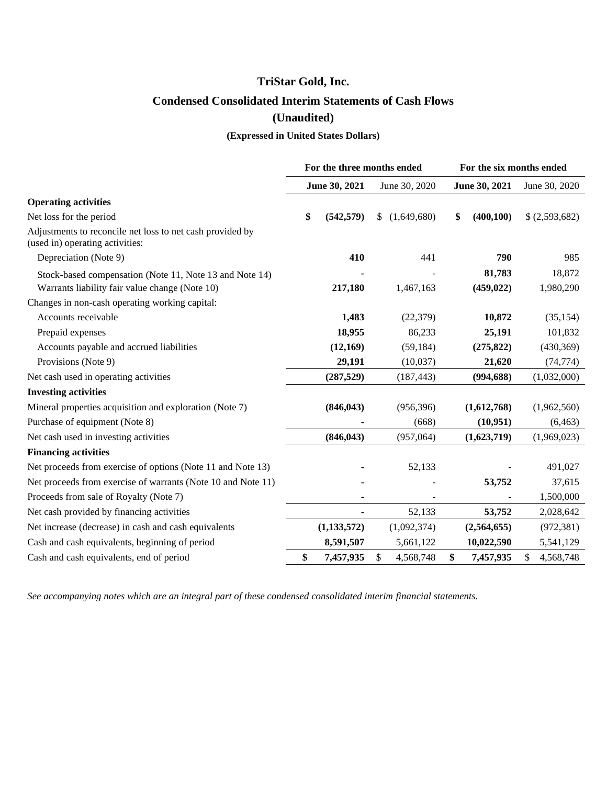# **TriStar Gold, Inc. Condensed Consolidated Interim Statements of Cash Flows (Unaudited)**

## **(Expressed in United States Dollars)**

|                                                                                                           | For the three months ended |               |    |               | For the six months ended |                      |                     |  |
|-----------------------------------------------------------------------------------------------------------|----------------------------|---------------|----|---------------|--------------------------|----------------------|---------------------|--|
|                                                                                                           |                            | June 30, 2021 |    | June 30, 2020 |                          | June 30, 2021        | June 30, 2020       |  |
| <b>Operating activities</b>                                                                               |                            |               |    |               |                          |                      |                     |  |
| Net loss for the period                                                                                   | \$                         | (542, 579)    | \$ | (1,649,680)   | \$                       | (400, 100)           | \$(2,593,682)       |  |
| Adjustments to reconcile net loss to net cash provided by<br>(used in) operating activities:              |                            |               |    |               |                          |                      |                     |  |
| Depreciation (Note 9)                                                                                     |                            | 410           |    | 441           |                          | 790                  | 985                 |  |
| Stock-based compensation (Note 11, Note 13 and Note 14)<br>Warrants liability fair value change (Note 10) |                            | 217,180       |    | 1,467,163     |                          | 81,783<br>(459, 022) | 18,872<br>1,980,290 |  |
| Changes in non-cash operating working capital:                                                            |                            |               |    |               |                          |                      |                     |  |
| Accounts receivable                                                                                       |                            | 1,483         |    | (22, 379)     |                          | 10,872               | (35, 154)           |  |
| Prepaid expenses                                                                                          |                            | 18,955        |    | 86,233        |                          | 25,191               | 101,832             |  |
| Accounts payable and accrued liabilities                                                                  |                            | (12,169)      |    | (59, 184)     |                          | (275, 822)           | (430, 369)          |  |
| Provisions (Note 9)                                                                                       |                            | 29,191        |    | (10,037)      |                          | 21,620               | (74, 774)           |  |
| Net cash used in operating activities                                                                     |                            | (287, 529)    |    | (187, 443)    |                          | (994, 688)           | (1,032,000)         |  |
| <b>Investing activities</b>                                                                               |                            |               |    |               |                          |                      |                     |  |
| Mineral properties acquisition and exploration (Note 7)                                                   |                            | (846, 043)    |    | (956, 396)    |                          | (1,612,768)          | (1,962,560)         |  |
| Purchase of equipment (Note 8)                                                                            |                            |               |    | (668)         |                          | (10, 951)            | (6, 463)            |  |
| Net cash used in investing activities                                                                     |                            | (846, 043)    |    | (957,064)     |                          | (1,623,719)          | (1,969,023)         |  |
| <b>Financing activities</b>                                                                               |                            |               |    |               |                          |                      |                     |  |
| Net proceeds from exercise of options (Note 11 and Note 13)                                               |                            |               |    | 52,133        |                          |                      | 491,027             |  |
| Net proceeds from exercise of warrants (Note 10 and Note 11)                                              |                            |               |    |               |                          | 53,752               | 37,615              |  |
| Proceeds from sale of Royalty (Note 7)                                                                    |                            | ä,            |    | ÷             |                          |                      | 1,500,000           |  |
| Net cash provided by financing activities                                                                 |                            |               |    | 52,133        |                          | 53,752               | 2,028,642           |  |
| Net increase (decrease) in cash and cash equivalents                                                      |                            | (1, 133, 572) |    | (1,092,374)   |                          | (2,564,655)          | (972, 381)          |  |
| Cash and cash equivalents, beginning of period                                                            |                            | 8,591,507     |    | 5,661,122     |                          | 10,022,590           | 5,541,129           |  |
| Cash and cash equivalents, end of period                                                                  | \$                         | 7,457,935     | \$ | 4,568,748     | \$                       | 7,457,935            | \$<br>4,568,748     |  |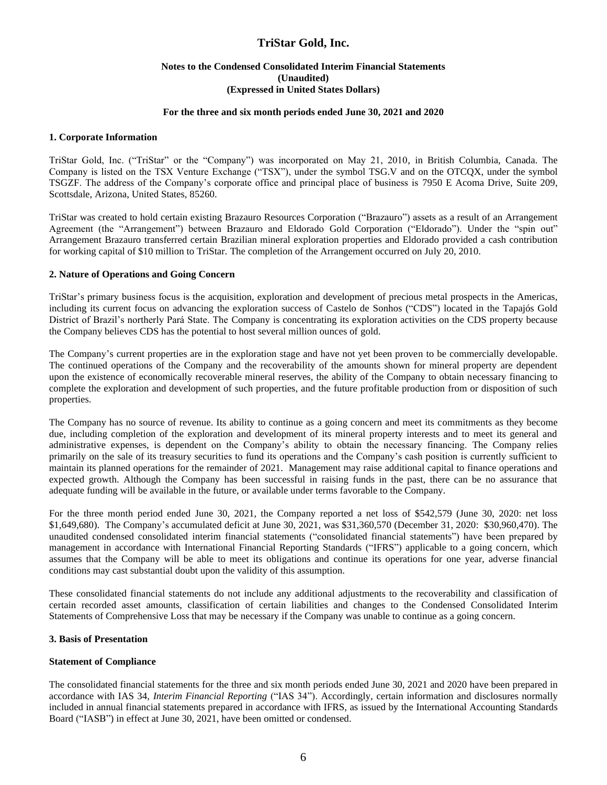#### **Notes to the Condensed Consolidated Interim Financial Statements (Unaudited) (Expressed in United States Dollars)**

#### **For the three and six month periods ended June 30, 2021 and 2020**

#### **1. Corporate Information**

TriStar Gold, Inc. ("TriStar" or the "Company") was incorporated on May 21, 2010, in British Columbia, Canada. The Company is listed on the TSX Venture Exchange ("TSX"), under the symbol TSG.V and on the OTCQX, under the symbol TSGZF. The address of the Company's corporate office and principal place of business is 7950 E Acoma Drive, Suite 209, Scottsdale, Arizona, United States, 85260.

TriStar was created to hold certain existing Brazauro Resources Corporation ("Brazauro") assets as a result of an Arrangement Agreement (the "Arrangement") between Brazauro and Eldorado Gold Corporation ("Eldorado"). Under the "spin out" Arrangement Brazauro transferred certain Brazilian mineral exploration properties and Eldorado provided a cash contribution for working capital of \$10 million to TriStar. The completion of the Arrangement occurred on July 20, 2010.

#### **2. Nature of Operations and Going Concern**

TriStar's primary business focus is the acquisition, exploration and development of precious metal prospects in the Americas, including its current focus on advancing the exploration success of Castelo de Sonhos ("CDS") located in the Tapajós Gold District of Brazil's northerly Pará State. The Company is concentrating its exploration activities on the CDS property because the Company believes CDS has the potential to host several million ounces of gold.

The Company's current properties are in the exploration stage and have not yet been proven to be commercially developable. The continued operations of the Company and the recoverability of the amounts shown for mineral property are dependent upon the existence of economically recoverable mineral reserves, the ability of the Company to obtain necessary financing to complete the exploration and development of such properties, and the future profitable production from or disposition of such properties.

The Company has no source of revenue. Its ability to continue as a going concern and meet its commitments as they become due, including completion of the exploration and development of its mineral property interests and to meet its general and administrative expenses, is dependent on the Company's ability to obtain the necessary financing. The Company relies primarily on the sale of its treasury securities to fund its operations and the Company's cash position is currently sufficient to maintain its planned operations for the remainder of 2021. Management may raise additional capital to finance operations and expected growth. Although the Company has been successful in raising funds in the past, there can be no assurance that adequate funding will be available in the future, or available under terms favorable to the Company.

For the three month period ended June 30, 2021, the Company reported a net loss of \$542,579 (June 30, 2020: net loss \$1,649,680). The Company's accumulated deficit at June 30, 2021, was \$31,360,570 (December 31, 2020: \$30,960,470). The unaudited condensed consolidated interim financial statements ("consolidated financial statements") have been prepared by management in accordance with International Financial Reporting Standards ("IFRS") applicable to a going concern, which assumes that the Company will be able to meet its obligations and continue its operations for one year, adverse financial conditions may cast substantial doubt upon the validity of this assumption.

These consolidated financial statements do not include any additional adjustments to the recoverability and classification of certain recorded asset amounts, classification of certain liabilities and changes to the Condensed Consolidated Interim Statements of Comprehensive Loss that may be necessary if the Company was unable to continue as a going concern.

#### **3. Basis of Presentation**

#### **Statement of Compliance**

The consolidated financial statements for the three and six month periods ended June 30, 2021 and 2020 have been prepared in accordance with IAS 34, *Interim Financial Reporting* ("IAS 34"). Accordingly, certain information and disclosures normally included in annual financial statements prepared in accordance with IFRS, as issued by the International Accounting Standards Board ("IASB") in effect at June 30, 2021, have been omitted or condensed.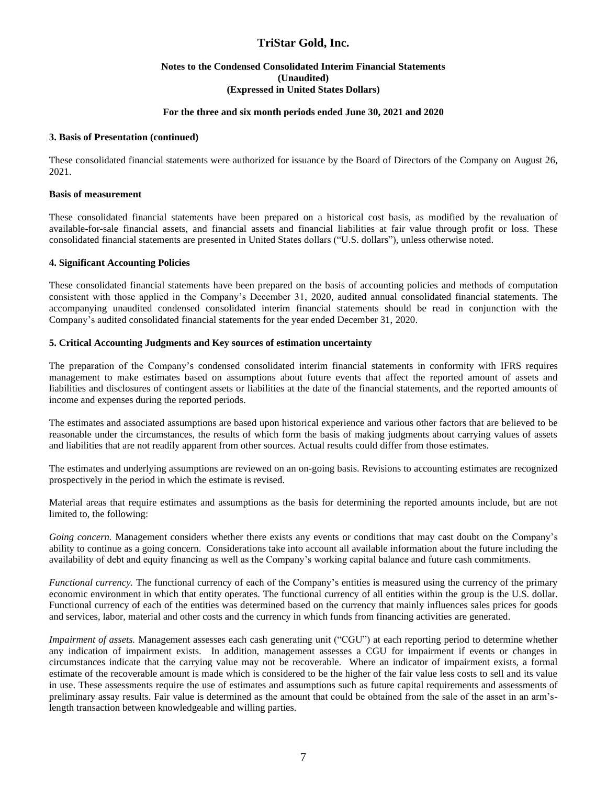#### **Notes to the Condensed Consolidated Interim Financial Statements (Unaudited) (Expressed in United States Dollars)**

#### **For the three and six month periods ended June 30, 2021 and 2020**

#### **3. Basis of Presentation (continued)**

These consolidated financial statements were authorized for issuance by the Board of Directors of the Company on August 26, 2021.

#### **Basis of measurement**

These consolidated financial statements have been prepared on a historical cost basis, as modified by the revaluation of available-for-sale financial assets, and financial assets and financial liabilities at fair value through profit or loss. These consolidated financial statements are presented in United States dollars ("U.S. dollars"), unless otherwise noted.

#### **4. Significant Accounting Policies**

These consolidated financial statements have been prepared on the basis of accounting policies and methods of computation consistent with those applied in the Company's December 31, 2020, audited annual consolidated financial statements. The accompanying unaudited condensed consolidated interim financial statements should be read in conjunction with the Company's audited consolidated financial statements for the year ended December 31, 2020.

#### **5. Critical Accounting Judgments and Key sources of estimation uncertainty**

The preparation of the Company's condensed consolidated interim financial statements in conformity with IFRS requires management to make estimates based on assumptions about future events that affect the reported amount of assets and liabilities and disclosures of contingent assets or liabilities at the date of the financial statements, and the reported amounts of income and expenses during the reported periods.

The estimates and associated assumptions are based upon historical experience and various other factors that are believed to be reasonable under the circumstances, the results of which form the basis of making judgments about carrying values of assets and liabilities that are not readily apparent from other sources. Actual results could differ from those estimates.

The estimates and underlying assumptions are reviewed on an on-going basis. Revisions to accounting estimates are recognized prospectively in the period in which the estimate is revised.

Material areas that require estimates and assumptions as the basis for determining the reported amounts include, but are not limited to, the following:

*Going concern.* Management considers whether there exists any events or conditions that may cast doubt on the Company's ability to continue as a going concern. Considerations take into account all available information about the future including the availability of debt and equity financing as well as the Company's working capital balance and future cash commitments.

*Functional currency.* The functional currency of each of the Company's entities is measured using the currency of the primary economic environment in which that entity operates. The functional currency of all entities within the group is the U.S. dollar. Functional currency of each of the entities was determined based on the currency that mainly influences sales prices for goods and services, labor, material and other costs and the currency in which funds from financing activities are generated.

*Impairment of assets.* Management assesses each cash generating unit ("CGU") at each reporting period to determine whether any indication of impairment exists. In addition, management assesses a CGU for impairment if events or changes in circumstances indicate that the carrying value may not be recoverable. Where an indicator of impairment exists, a formal estimate of the recoverable amount is made which is considered to be the higher of the fair value less costs to sell and its value in use. These assessments require the use of estimates and assumptions such as future capital requirements and assessments of preliminary assay results. Fair value is determined as the amount that could be obtained from the sale of the asset in an arm'slength transaction between knowledgeable and willing parties.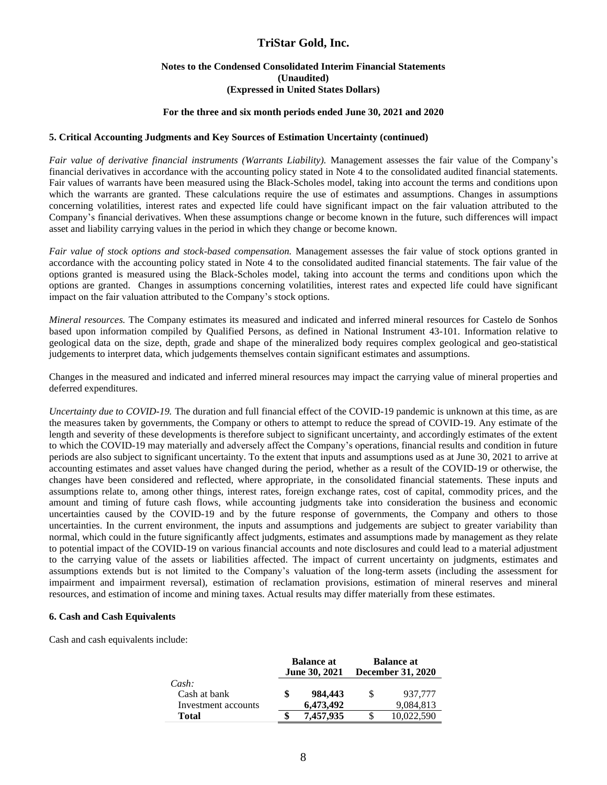#### **Notes to the Condensed Consolidated Interim Financial Statements (Unaudited) (Expressed in United States Dollars)**

#### **For the three and six month periods ended June 30, 2021 and 2020**

#### **5. Critical Accounting Judgments and Key Sources of Estimation Uncertainty (continued)**

*Fair value of derivative financial instruments (Warrants Liability).* Management assesses the fair value of the Company's financial derivatives in accordance with the accounting policy stated in Note 4 to the consolidated audited financial statements. Fair values of warrants have been measured using the Black-Scholes model, taking into account the terms and conditions upon which the warrants are granted. These calculations require the use of estimates and assumptions. Changes in assumptions concerning volatilities, interest rates and expected life could have significant impact on the fair valuation attributed to the Company's financial derivatives. When these assumptions change or become known in the future, such differences will impact asset and liability carrying values in the period in which they change or become known.

*Fair value of stock options and stock-based compensation.* Management assesses the fair value of stock options granted in accordance with the accounting policy stated in Note 4 to the consolidated audited financial statements. The fair value of the options granted is measured using the Black-Scholes model, taking into account the terms and conditions upon which the options are granted. Changes in assumptions concerning volatilities, interest rates and expected life could have significant impact on the fair valuation attributed to the Company's stock options.

*Mineral resources.* The Company estimates its measured and indicated and inferred mineral resources for Castelo de Sonhos based upon information compiled by Qualified Persons, as defined in National Instrument 43-101. Information relative to geological data on the size, depth, grade and shape of the mineralized body requires complex geological and geo-statistical judgements to interpret data, which judgements themselves contain significant estimates and assumptions.

Changes in the measured and indicated and inferred mineral resources may impact the carrying value of mineral properties and deferred expenditures.

*Uncertainty due to COVID-19.* The duration and full financial effect of the COVID-19 pandemic is unknown at this time, as are the measures taken by governments, the Company or others to attempt to reduce the spread of COVID-19. Any estimate of the length and severity of these developments is therefore subject to significant uncertainty, and accordingly estimates of the extent to which the COVID-19 may materially and adversely affect the Company's operations, financial results and condition in future periods are also subject to significant uncertainty. To the extent that inputs and assumptions used as at June 30, 2021 to arrive at accounting estimates and asset values have changed during the period, whether as a result of the COVID-19 or otherwise, the changes have been considered and reflected, where appropriate, in the consolidated financial statements. These inputs and assumptions relate to, among other things, interest rates, foreign exchange rates, cost of capital, commodity prices, and the amount and timing of future cash flows, while accounting judgments take into consideration the business and economic uncertainties caused by the COVID-19 and by the future response of governments, the Company and others to those uncertainties. In the current environment, the inputs and assumptions and judgements are subject to greater variability than normal, which could in the future significantly affect judgments, estimates and assumptions made by management as they relate to potential impact of the COVID-19 on various financial accounts and note disclosures and could lead to a material adjustment to the carrying value of the assets or liabilities affected. The impact of current uncertainty on judgments, estimates and assumptions extends but is not limited to the Company's valuation of the long-term assets (including the assessment for impairment and impairment reversal), estimation of reclamation provisions, estimation of mineral reserves and mineral resources, and estimation of income and mining taxes. Actual results may differ materially from these estimates.

#### **6. Cash and Cash Equivalents**

Cash and cash equivalents include:

|                                              |   | <b>Balance at</b><br><b>June 30, 2021</b> | <b>Balance at</b><br><b>December 31, 2020</b> |                      |  |  |
|----------------------------------------------|---|-------------------------------------------|-----------------------------------------------|----------------------|--|--|
| Cash:<br>Cash at bank<br>Investment accounts | S | 984,443<br>6,473,492                      | S                                             | 937.777<br>9,084,813 |  |  |
| Total                                        |   | 7,457,935                                 |                                               | 10.022.590           |  |  |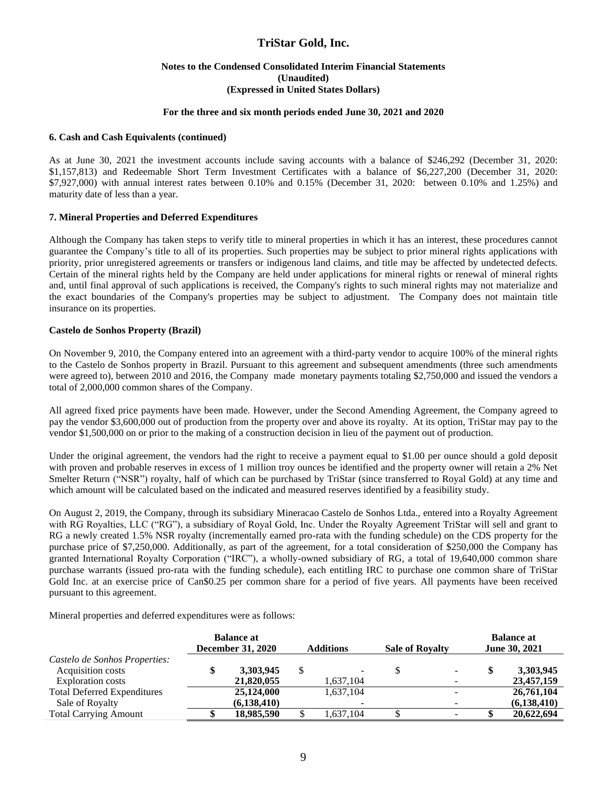#### **Notes to the Condensed Consolidated Interim Financial Statements (Unaudited) (Expressed in United States Dollars)**

#### **For the three and six month periods ended June 30, 2021 and 2020**

#### **6. Cash and Cash Equivalents (continued)**

As at June 30, 2021 the investment accounts include saving accounts with a balance of \$246,292 (December 31, 2020: \$1,157,813) and Redeemable Short Term Investment Certificates with a balance of \$6,227,200 (December 31, 2020: \$7,927,000) with annual interest rates between 0.10% and 0.15% (December 31, 2020: between 0.10% and 1.25%) and maturity date of less than a year.

#### **7. Mineral Properties and Deferred Expenditures**

Although the Company has taken steps to verify title to mineral properties in which it has an interest, these procedures cannot guarantee the Company's title to all of its properties. Such properties may be subject to prior mineral rights applications with priority, prior unregistered agreements or transfers or indigenous land claims, and title may be affected by undetected defects. Certain of the mineral rights held by the Company are held under applications for mineral rights or renewal of mineral rights and, until final approval of such applications is received, the Company's rights to such mineral rights may not materialize and the exact boundaries of the Company's properties may be subject to adjustment. The Company does not maintain title insurance on its properties.

#### **Castelo de Sonhos Property (Brazil)**

On November 9, 2010, the Company entered into an agreement with a third-party vendor to acquire 100% of the mineral rights to the Castelo de Sonhos property in Brazil. Pursuant to this agreement and subsequent amendments (three such amendments were agreed to), between 2010 and 2016, the Company made monetary payments totaling \$2,750,000 and issued the vendors a total of 2,000,000 common shares of the Company.

All agreed fixed price payments have been made. However, under the Second Amending Agreement, the Company agreed to pay the vendor \$3,600,000 out of production from the property over and above its royalty. At its option, TriStar may pay to the vendor \$1,500,000 on or prior to the making of a construction decision in lieu of the payment out of production.

Under the original agreement, the vendors had the right to receive a payment equal to \$1.00 per ounce should a gold deposit with proven and probable reserves in excess of 1 million troy ounces be identified and the property owner will retain a 2% Net Smelter Return ("NSR") royalty, half of which can be purchased by TriStar (since transferred to Royal Gold) at any time and which amount will be calculated based on the indicated and measured reserves identified by a feasibility study.

On August 2, 2019, the Company, through its subsidiary Mineracao Castelo de Sonhos Ltda., entered into a Royalty Agreement with RG Royalties, LLC ("RG"), a subsidiary of Royal Gold, Inc. Under the Royalty Agreement TriStar will sell and grant to RG a newly created 1.5% NSR royalty (incrementally earned pro-rata with the funding schedule) on the CDS property for the purchase price of \$7,250,000. Additionally, as part of the agreement, for a total consideration of \$250,000 the Company has granted International Royalty Corporation ("IRC"), a wholly-owned subsidiary of RG, a total of 19,640,000 common share purchase warrants (issued pro-rata with the funding schedule), each entitling IRC to purchase one common share of TriStar Gold Inc. at an exercise price of Can\$0.25 per common share for a period of five years. All payments have been received pursuant to this agreement.

Mineral properties and deferred expenditures were as follows:

|                                                                         | <b>Balance at</b><br><b>December 31, 2020</b> | <b>Additions</b> | <b>Sale of Royalty</b> | <b>Balance at</b><br><b>June 30, 2021</b> |                             |  |
|-------------------------------------------------------------------------|-----------------------------------------------|------------------|------------------------|-------------------------------------------|-----------------------------|--|
| Castelo de Sonhos Properties:<br>Acquisition costs<br>Exploration costs | 3,303,945<br>21,820,055                       | 1,637,104        |                        | \$                                        | 3,303,945<br>23,457,159     |  |
| <b>Total Deferred Expenditures</b><br>Sale of Royalty                   | 25,124,000<br>(6, 138, 410)                   | 1,637,104        |                        |                                           | 26,761,104<br>(6, 138, 410) |  |
| <b>Total Carrying Amount</b>                                            | 18,985,590                                    | 1,637,104        |                        |                                           | 20,622,694                  |  |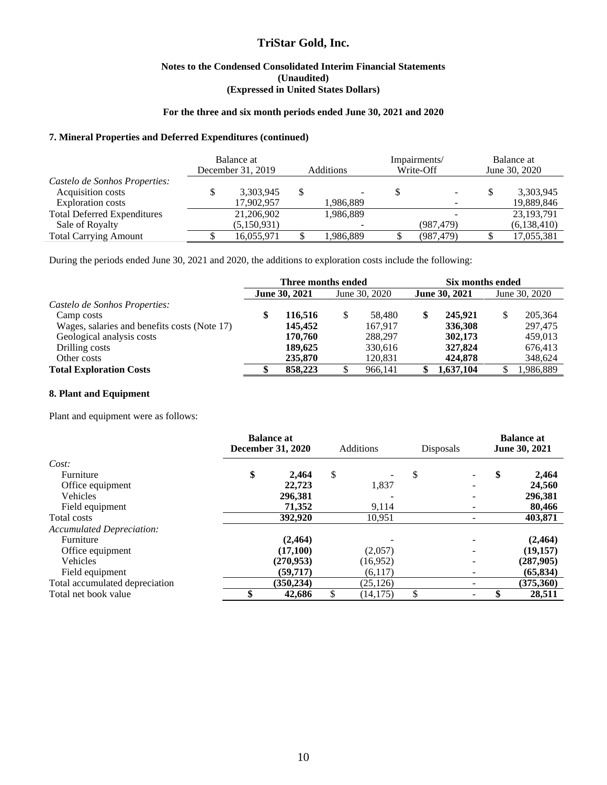#### **Notes to the Condensed Consolidated Interim Financial Statements (Unaudited) (Expressed in United States Dollars)**

#### **For the three and six month periods ended June 30, 2021 and 2020**

#### **7. Mineral Properties and Deferred Expenditures (continued)**

|                                    | Balance at<br>December 31, 2019 |             |  | <b>Additions</b> | Impairments/<br>Write-Off | Balance at<br>June 30, 2020 |              |  |
|------------------------------------|---------------------------------|-------------|--|------------------|---------------------------|-----------------------------|--------------|--|
| Castelo de Sonhos Properties:      |                                 |             |  |                  |                           |                             |              |  |
| Acquisition costs                  |                                 | 3,303,945   |  |                  |                           | S                           | 3,303,945    |  |
| Exploration costs                  |                                 | 17,902,957  |  | 1,986,889        |                           |                             | 19,889,846   |  |
| <b>Total Deferred Expenditures</b> |                                 | 21,206,902  |  | 1,986,889        |                           |                             | 23, 193, 791 |  |
| Sale of Royalty                    |                                 | (5,150,931) |  |                  | (987, 479)                |                             | (6,138,410)  |  |
| <b>Total Carrying Amount</b>       |                                 | 16,055,971  |  | 1,986,889        | (987, 479)                |                             | 17,055,381   |  |

During the periods ended June 30, 2021 and 2020, the additions to exploration costs include the following:

|                                              | Three months ended   |         |               |         |                      | Six months ended |               |         |  |  |
|----------------------------------------------|----------------------|---------|---------------|---------|----------------------|------------------|---------------|---------|--|--|
|                                              | <b>June 30, 2021</b> |         | June 30, 2020 |         | <b>June 30, 2021</b> |                  | June 30, 2020 |         |  |  |
| Castelo de Sonhos Properties:                |                      |         |               |         |                      |                  |               |         |  |  |
| Camp costs                                   |                      | 116.516 |               | 58.480  | \$                   | 245,921          | \$            | 205,364 |  |  |
| Wages, salaries and benefits costs (Note 17) |                      | 145,452 |               | 167.917 |                      | 336,308          |               | 297,475 |  |  |
| Geological analysis costs                    |                      | 170,760 |               | 288,297 |                      | 302,173          |               | 459,013 |  |  |
| Drilling costs                               |                      | 189,625 |               | 330.616 |                      | 327,824          |               | 676,413 |  |  |
| Other costs                                  |                      | 235,870 |               | 120,831 |                      | 424.878          |               | 348,624 |  |  |
| <b>Total Exploration Costs</b>               |                      | 858,223 |               | 966,141 |                      | 1,637,104        |               | 986,889 |  |  |

#### **8. Plant and Equipment**

Plant and equipment were as follows:

|                                  | <b>Balance at</b><br><b>December 31, 2020</b> | <b>Additions</b> | <b>Disposals</b> |  | <b>Balance at</b><br>June 30, 2021 |           |
|----------------------------------|-----------------------------------------------|------------------|------------------|--|------------------------------------|-----------|
| Cost:                            |                                               |                  |                  |  |                                    |           |
| Furniture                        | \$<br>2.464                                   | \$               | \$               |  | \$                                 | 2,464     |
| Office equipment                 | 22,723                                        | 1,837            |                  |  |                                    | 24,560    |
| Vehicles                         | 296,381                                       |                  |                  |  |                                    | 296,381   |
| Field equipment                  | 71,352                                        | 9,114            |                  |  |                                    | 80,466    |
| Total costs                      | 392,920                                       | 10,951           |                  |  |                                    | 403,871   |
| <b>Accumulated Depreciation:</b> |                                               |                  |                  |  |                                    |           |
| Furniture                        | (2, 464)                                      |                  |                  |  |                                    | (2, 464)  |
| Office equipment                 | (17,100)                                      | (2,057)          |                  |  |                                    | (19,157)  |
| Vehicles                         | (270,953)                                     | (16,952)         |                  |  |                                    | (287,905) |
| Field equipment                  | (59,717)                                      | (6,117)          |                  |  |                                    | (65, 834) |
| Total accumulated depreciation   | (350, 234)                                    | (25, 126)        |                  |  |                                    | (375,360) |
| Total net book value             | 42,686                                        | (14, 175)        |                  |  |                                    | 28,511    |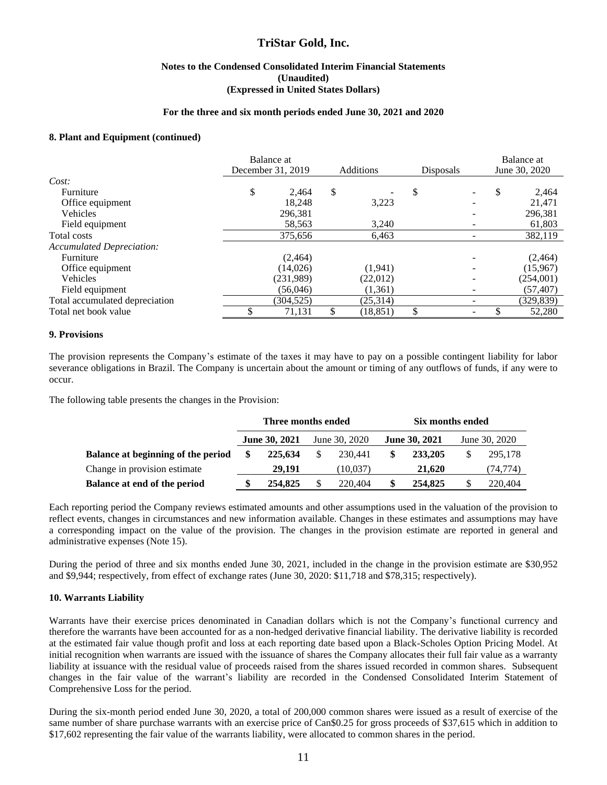#### **Notes to the Condensed Consolidated Interim Financial Statements (Unaudited) (Expressed in United States Dollars)**

#### **For the three and six month periods ended June 30, 2021 and 2020**

#### **8. Plant and Equipment (continued)**

|                                  | Balance at<br>December 31, 2019<br><b>Additions</b> |           | Disposals |    | Balance at<br>June 30, 2020 |   |            |
|----------------------------------|-----------------------------------------------------|-----------|-----------|----|-----------------------------|---|------------|
| Cost:                            |                                                     |           |           |    |                             |   |            |
| Furniture                        | \$                                                  | 2.464     | \$        | \$ |                             | S | 2,464      |
| Office equipment                 |                                                     | 18.248    | 3,223     |    |                             |   | 21.471     |
| Vehicles                         |                                                     | 296,381   |           |    |                             |   | 296,381    |
| Field equipment                  |                                                     | 58,563    | 3,240     |    |                             |   | 61,803     |
| Total costs                      |                                                     | 375,656   | 6,463     |    |                             |   | 382,119    |
| <b>Accumulated Depreciation:</b> |                                                     |           |           |    |                             |   |            |
| Furniture                        |                                                     | (2,464)   |           |    |                             |   | (2,464)    |
| Office equipment                 |                                                     | (14,026)  | (1,941)   |    |                             |   | (15,967)   |
| Vehicles                         |                                                     | (231,989) | (22,012)  |    |                             |   | (254,001)  |
| Field equipment                  |                                                     | (56,046)  | (1,361)   |    |                             |   | (57, 407)  |
| Total accumulated depreciation   |                                                     | (304,525) | (25,314)  |    |                             |   | (329, 839) |
| Total net book value             |                                                     | 71,131    | (18, 851) |    |                             |   | 52,280     |

#### **9. Provisions**

The provision represents the Company's estimate of the taxes it may have to pay on a possible contingent liability for labor severance obligations in Brazil. The Company is uncertain about the amount or timing of any outflows of funds, if any were to occur.

The following table presents the changes in the Provision:

|                                    |     | Three months ended   |               |   | Six months ended     |               |          |  |
|------------------------------------|-----|----------------------|---------------|---|----------------------|---------------|----------|--|
|                                    |     | <b>June 30, 2021</b> | June 30, 2020 |   | <b>June 30, 2021</b> | June 30, 2020 |          |  |
| Balance at beginning of the period | \$. | 225,634              | 230.441       | S | 233,205              |               | 295,178  |  |
| Change in provision estimate       |     | 29.191               | (10,037)      |   | 21,620               |               | (74,774) |  |
| Balance at end of the period       |     | 254,825              | 220,404       | S | 254,825              |               | 220,404  |  |

Each reporting period the Company reviews estimated amounts and other assumptions used in the valuation of the provision to reflect events, changes in circumstances and new information available. Changes in these estimates and assumptions may have a corresponding impact on the value of the provision. The changes in the provision estimate are reported in general and administrative expenses (Note 15).

During the period of three and six months ended June 30, 2021, included in the change in the provision estimate are \$30,952 and \$9,944; respectively, from effect of exchange rates (June 30, 2020: \$11,718 and \$78,315; respectively).

#### **10. Warrants Liability**

Warrants have their exercise prices denominated in Canadian dollars which is not the Company's functional currency and therefore the warrants have been accounted for as a non-hedged derivative financial liability. The derivative liability is recorded at the estimated fair value though profit and loss at each reporting date based upon a Black-Scholes Option Pricing Model. At initial recognition when warrants are issued with the issuance of shares the Company allocates their full fair value as a warranty liability at issuance with the residual value of proceeds raised from the shares issued recorded in common shares. Subsequent changes in the fair value of the warrant's liability are recorded in the Condensed Consolidated Interim Statement of Comprehensive Loss for the period.

During the six-month period ended June 30, 2020, a total of 200,000 common shares were issued as a result of exercise of the same number of share purchase warrants with an exercise price of Can\$0.25 for gross proceeds of \$37,615 which in addition to \$17,602 representing the fair value of the warrants liability, were allocated to common shares in the period.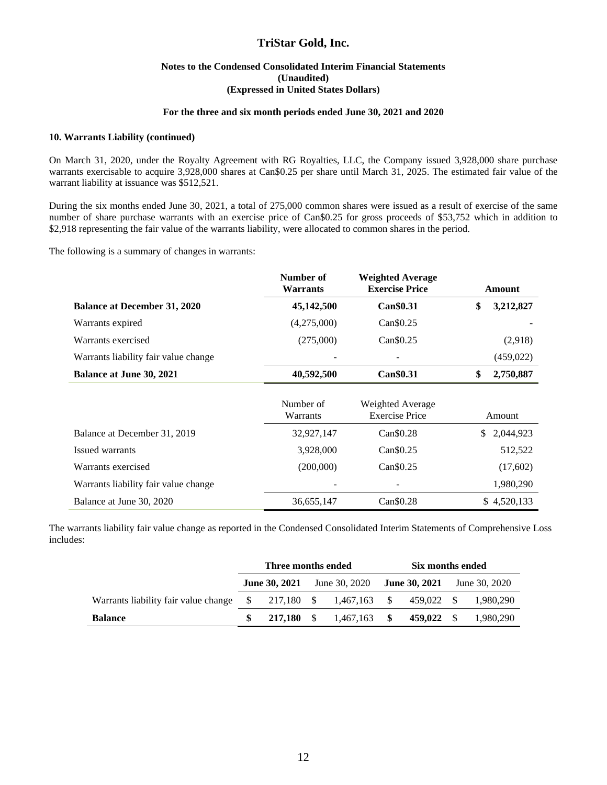#### **Notes to the Condensed Consolidated Interim Financial Statements (Unaudited) (Expressed in United States Dollars)**

#### **For the three and six month periods ended June 30, 2021 and 2020**

#### **10. Warrants Liability (continued)**

On March 31, 2020, under the Royalty Agreement with RG Royalties, LLC, the Company issued 3,928,000 share purchase warrants exercisable to acquire 3,928,000 shares at Can\$0.25 per share until March 31, 2025. The estimated fair value of the warrant liability at issuance was \$512,521.

During the six months ended June 30, 2021, a total of 275,000 common shares were issued as a result of exercise of the same number of share purchase warrants with an exercise price of Can\$0.25 for gross proceeds of \$53,752 which in addition to \$2,918 representing the fair value of the warrants liability, were allocated to common shares in the period.

The following is a summary of changes in warrants:

|                                      | Number of<br><b>Warrants</b> | <b>Weighted Average</b><br><b>Exercise Price</b> | Amount          |  |
|--------------------------------------|------------------------------|--------------------------------------------------|-----------------|--|
| <b>Balance at December 31, 2020</b>  | 45,142,500                   | Can\$0.31                                        | \$<br>3,212,827 |  |
| Warrants expired                     | (4,275,000)                  | Can\$0.25                                        |                 |  |
| Warrants exercised                   | (275,000)                    | Can \$0.25                                       | (2,918)         |  |
| Warrants liability fair value change |                              |                                                  | (459, 022)      |  |
| <b>Balance at June 30, 2021</b>      | 40,592,500                   | Can\$0.31                                        | \$<br>2,750,887 |  |
|                                      | Number of<br>Warrants        | Weighted Average<br><b>Exercise Price</b>        | Amount          |  |
| Balance at December 31, 2019         | 32,927,147                   | Can \$0.28                                       | \$ 2,044,923    |  |
| Issued warrants                      | 3,928,000                    | $Can \$0.25$                                     | 512,522         |  |
| Warrants exercised                   | (200,000)                    | Can \$0.25                                       | (17,602)        |  |
| Warrants liability fair value change |                              |                                                  | 1,980,290       |  |
| Balance at June 30, 2020             | 36,655,147                   | Can\$0.28                                        | \$4,520,133     |  |

The warrants liability fair value change as reported in the Condensed Consolidated Interim Statements of Comprehensive Loss includes:

|                                                                      | Three months ended |            |                                                         |                | Six months ended |            |               |           |
|----------------------------------------------------------------------|--------------------|------------|---------------------------------------------------------|----------------|------------------|------------|---------------|-----------|
|                                                                      |                    |            | <b>June 30, 2021</b> June 30, 2020 <b>June 30, 2021</b> |                |                  |            | June 30, 2020 |           |
| Warrants liability fair value change $\frac{127.180}{8} = 1.467.163$ |                    |            |                                                         |                |                  | 459,022 \$ |               | 1.980.290 |
| <b>Balance</b>                                                       |                    | 217,180 \$ |                                                         | $1,467,163$ \$ |                  | 459,022 \$ |               | 1,980,290 |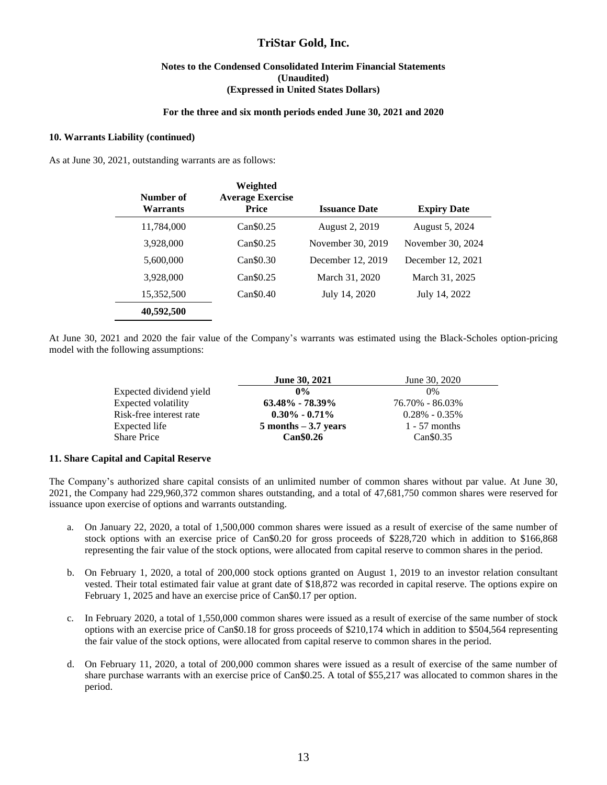#### **Notes to the Condensed Consolidated Interim Financial Statements (Unaudited) (Expressed in United States Dollars)**

#### **For the three and six month periods ended June 30, 2021 and 2020**

#### **10. Warrants Liability (continued)**

As at June 30, 2021, outstanding warrants are as follows:

| Number of<br><b>Warrants</b> | Weighted<br><b>Average Exercise</b><br><b>Price</b> | <b>Issuance Date</b> | <b>Expiry Date</b> |
|------------------------------|-----------------------------------------------------|----------------------|--------------------|
| 11,784,000                   | Can <sub>\$0.25</sub>                               | August 2, 2019       | August 5, 2024     |
| 3,928,000                    | Can <sub>\$0.25</sub>                               | November 30, 2019    | November 30, 2024  |
| 5,600,000                    | Can \$0.30                                          | December 12, 2019    | December 12, 2021  |
| 3,928,000                    | Can\$0.25                                           | March 31, 2020       | March 31, 2025     |
| 15,352,500                   | $Can$ \$0.40                                        | July 14, 2020        | July 14, 2022      |
| 40,592,500                   |                                                     |                      |                    |

At June 30, 2021 and 2020 the fair value of the Company's warrants was estimated using the Black-Scholes option-pricing model with the following assumptions:

|                         | <b>June 30, 2021</b>    | June 30, 2020     |
|-------------------------|-------------------------|-------------------|
| Expected dividend yield | $0\%$                   | $0\%$             |
| Expected volatility     | $63.48\% - 78.39\%$     | 76.70% - 86.03%   |
| Risk-free interest rate | $0.30\% - 0.71\%$       | $0.28\% - 0.35\%$ |
| Expected life           | $5$ months $-3.7$ years | $1 - 57$ months   |
| <b>Share Price</b>      | <b>Can</b> \$0.26       | $Can \$0.35$      |

#### **11. Share Capital and Capital Reserve**

The Company's authorized share capital consists of an unlimited number of common shares without par value. At June 30, 2021, the Company had 229,960,372 common shares outstanding, and a total of 47,681,750 common shares were reserved for issuance upon exercise of options and warrants outstanding.

- a. On January 22, 2020, a total of 1,500,000 common shares were issued as a result of exercise of the same number of stock options with an exercise price of Can\$0.20 for gross proceeds of \$228,720 which in addition to \$166,868 representing the fair value of the stock options, were allocated from capital reserve to common shares in the period.
- b. On February 1, 2020, a total of 200,000 stock options granted on August 1, 2019 to an investor relation consultant vested. Their total estimated fair value at grant date of \$18,872 was recorded in capital reserve. The options expire on February 1, 2025 and have an exercise price of Can\$0.17 per option.
- c. In February 2020, a total of 1,550,000 common shares were issued as a result of exercise of the same number of stock options with an exercise price of Can\$0.18 for gross proceeds of \$210,174 which in addition to \$504,564 representing the fair value of the stock options, were allocated from capital reserve to common shares in the period.
- d. On February 11, 2020, a total of 200,000 common shares were issued as a result of exercise of the same number of share purchase warrants with an exercise price of Can\$0.25. A total of \$55,217 was allocated to common shares in the period.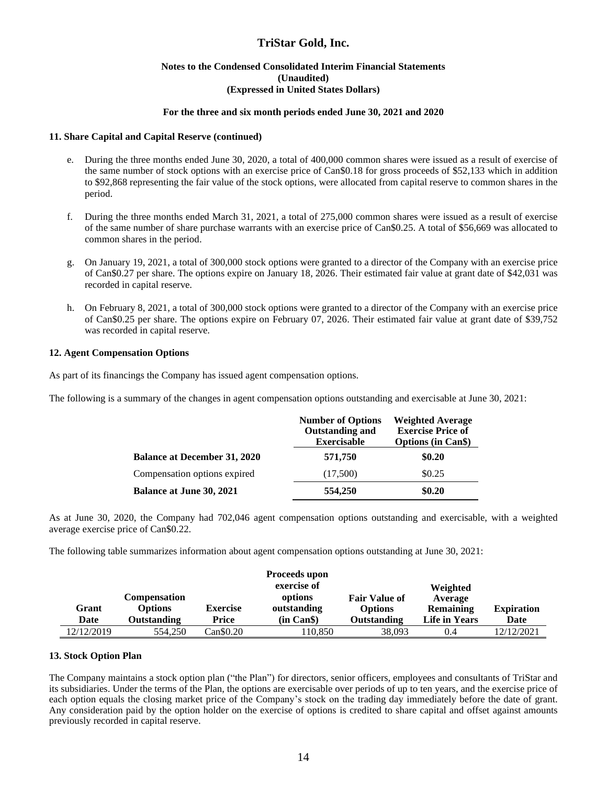#### **Notes to the Condensed Consolidated Interim Financial Statements (Unaudited) (Expressed in United States Dollars)**

#### **For the three and six month periods ended June 30, 2021 and 2020**

#### **11. Share Capital and Capital Reserve (continued)**

- e. During the three months ended June 30, 2020, a total of 400,000 common shares were issued as a result of exercise of the same number of stock options with an exercise price of Can\$0.18 for gross proceeds of \$52,133 which in addition to \$92,868 representing the fair value of the stock options, were allocated from capital reserve to common shares in the period.
- f. During the three months ended March 31, 2021, a total of 275,000 common shares were issued as a result of exercise of the same number of share purchase warrants with an exercise price of Can\$0.25. A total of \$56,669 was allocated to common shares in the period.
- g. On January 19, 2021, a total of 300,000 stock options were granted to a director of the Company with an exercise price of Can\$0.27 per share. The options expire on January 18, 2026. Their estimated fair value at grant date of \$42,031 was recorded in capital reserve.
- h. On February 8, 2021, a total of 300,000 stock options were granted to a director of the Company with an exercise price of Can\$0.25 per share. The options expire on February 07, 2026. Their estimated fair value at grant date of \$39,752 was recorded in capital reserve.

#### **12. Agent Compensation Options**

As part of its financings the Company has issued agent compensation options.

The following is a summary of the changes in agent compensation options outstanding and exercisable at June 30, 2021:

|                                     | <b>Number of Options</b><br><b>Outstanding and</b><br><b>Exercisable</b> | <b>Weighted Average</b><br><b>Exercise Price of</b><br><b>Options (in Cans)</b> |  |  |
|-------------------------------------|--------------------------------------------------------------------------|---------------------------------------------------------------------------------|--|--|
| <b>Balance at December 31, 2020</b> | 571,750                                                                  | \$0.20                                                                          |  |  |
| Compensation options expired        | (17,500)                                                                 | \$0.25                                                                          |  |  |
| <b>Balance at June 30, 2021</b>     | 554,250                                                                  | \$0.20                                                                          |  |  |

As at June 30, 2020, the Company had 702,046 agent compensation options outstanding and exercisable, with a weighted average exercise price of Can\$0.22.

The following table summarizes information about agent compensation options outstanding at June 30, 2021:

|            |                                       |                 | Proceeds upon<br>exercise of |                                        | Weighted             |                   |
|------------|---------------------------------------|-----------------|------------------------------|----------------------------------------|----------------------|-------------------|
| Grant      | <b>Compensation</b><br><b>Options</b> | <b>Exercise</b> | options<br>outstanding       | <b>Fair Value of</b><br><b>Options</b> | Average<br>Remaining | <b>Expiration</b> |
| Date       | <b>Outstanding</b>                    | Price           | (in Can \$)                  | Outstanding                            | Life in Years        | Date              |
| 12/12/2019 | 554,250                               | Can\$0.20       | 110.850                      | 38,093                                 | 0.4                  | 12/12/2021        |

#### **13. Stock Option Plan**

The Company maintains a stock option plan ("the Plan") for directors, senior officers, employees and consultants of TriStar and its subsidiaries. Under the terms of the Plan, the options are exercisable over periods of up to ten years, and the exercise price of each option equals the closing market price of the Company's stock on the trading day immediately before the date of grant. Any consideration paid by the option holder on the exercise of options is credited to share capital and offset against amounts previously recorded in capital reserve.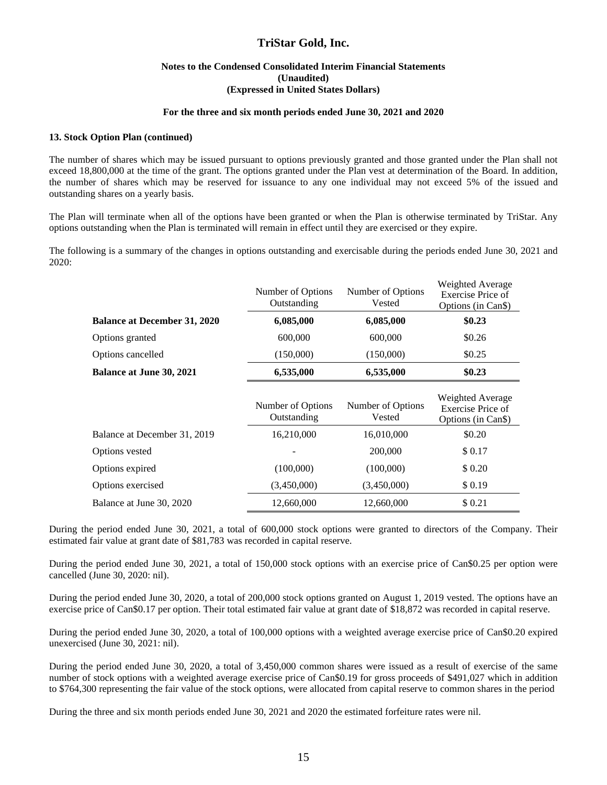#### **Notes to the Condensed Consolidated Interim Financial Statements (Unaudited) (Expressed in United States Dollars)**

#### **For the three and six month periods ended June 30, 2021 and 2020**

#### **13. Stock Option Plan (continued)**

The number of shares which may be issued pursuant to options previously granted and those granted under the Plan shall not exceed 18,800,000 at the time of the grant. The options granted under the Plan vest at determination of the Board. In addition, the number of shares which may be reserved for issuance to any one individual may not exceed 5% of the issued and outstanding shares on a yearly basis.

The Plan will terminate when all of the options have been granted or when the Plan is otherwise terminated by TriStar. Any options outstanding when the Plan is terminated will remain in effect until they are exercised or they expire.

The following is a summary of the changes in options outstanding and exercisable during the periods ended June 30, 2021 and 2020:

|                                     | Number of Options<br>Outstanding | Number of Options<br>Vested | Weighted Average<br>Exercise Price of<br>Options (in Can\$) |
|-------------------------------------|----------------------------------|-----------------------------|-------------------------------------------------------------|
| <b>Balance at December 31, 2020</b> | 6,085,000                        | 6,085,000                   | \$0.23                                                      |
| Options granted                     | 600,000                          | 600,000                     | \$0.26                                                      |
| Options cancelled                   | (150,000)                        | (150,000)                   | \$0.25                                                      |
| <b>Balance at June 30, 2021</b>     | 6,535,000                        | 6,535,000                   | \$0.23\$                                                    |
|                                     | Number of Options<br>Outstanding | Number of Options<br>Vested | Weighted Average<br>Exercise Price of<br>Options (in Can\$) |
| Balance at December 31, 2019        | 16,210,000                       | 16,010,000                  | \$0.20                                                      |
| Options vested                      |                                  | 200,000                     | \$0.17                                                      |
| Options expired                     | (100,000)                        | (100,000)                   | \$ 0.20                                                     |
| Options exercised                   | (3,450,000)                      | (3,450,000)                 | \$0.19                                                      |
| Balance at June 30, 2020            | 12,660,000                       | 12,660,000                  | \$0.21                                                      |

During the period ended June 30, 2021, a total of 600,000 stock options were granted to directors of the Company. Their estimated fair value at grant date of \$81,783 was recorded in capital reserve.

During the period ended June 30, 2021, a total of 150,000 stock options with an exercise price of Can\$0.25 per option were cancelled (June 30, 2020: nil).

During the period ended June 30, 2020, a total of 200,000 stock options granted on August 1, 2019 vested. The options have an exercise price of Can\$0.17 per option. Their total estimated fair value at grant date of \$18,872 was recorded in capital reserve.

During the period ended June 30, 2020, a total of 100,000 options with a weighted average exercise price of Can\$0.20 expired unexercised (June 30, 2021: nil).

During the period ended June 30, 2020, a total of 3,450,000 common shares were issued as a result of exercise of the same number of stock options with a weighted average exercise price of Can\$0.19 for gross proceeds of \$491,027 which in addition to \$764,300 representing the fair value of the stock options, were allocated from capital reserve to common shares in the period

During the three and six month periods ended June 30, 2021 and 2020 the estimated forfeiture rates were nil.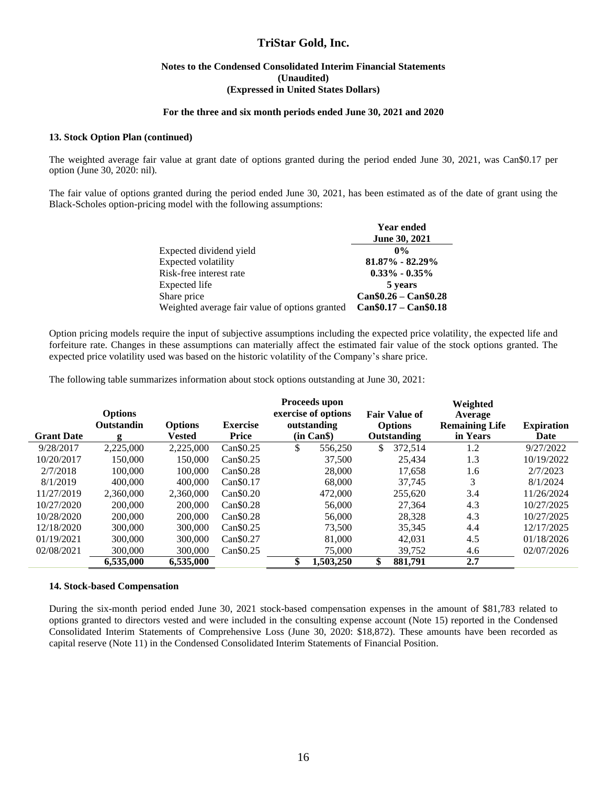#### **Notes to the Condensed Consolidated Interim Financial Statements (Unaudited) (Expressed in United States Dollars)**

#### **For the three and six month periods ended June 30, 2021 and 2020**

#### **13. Stock Option Plan (continued)**

The weighted average fair value at grant date of options granted during the period ended June 30, 2021, was Can\$0.17 per option (June 30, 2020: nil).

The fair value of options granted during the period ended June 30, 2021, has been estimated as of the date of grant using the Black-Scholes option-pricing model with the following assumptions:

|                                                | <b>Year ended</b>       |
|------------------------------------------------|-------------------------|
|                                                | <b>June 30, 2021</b>    |
| Expected dividend yield                        | $0\%$                   |
| Expected volatility                            | 81.87% - 82.29%         |
| Risk-free interest rate                        | $0.33\% - 0.35\%$       |
| Expected life                                  | 5 years                 |
| Share price                                    | $Can $0.26 - Can $0.28$ |
| Weighted average fair value of options granted | $Can $0.17 - Can $0.18$ |

Option pricing models require the input of subjective assumptions including the expected price volatility, the expected life and forfeiture rate. Changes in these assumptions can materially affect the estimated fair value of the stock options granted. The expected price volatility used was based on the historic volatility of the Company's share price.

The following table summarizes information about stock options outstanding at June 30, 2021:

| <b>Grant Date</b> | <b>Options</b><br>Outstandin | <b>Options</b> | <b>Exercise</b><br>Price | Proceeds upon<br>exercise of options<br><b>Fair Value of</b><br>outstanding<br><b>Options</b><br>(in Can \$)<br>Outstanding |               | Weighted<br>Average<br><b>Remaining Life</b><br>in Years | <b>Expiration</b> |
|-------------------|------------------------------|----------------|--------------------------|-----------------------------------------------------------------------------------------------------------------------------|---------------|----------------------------------------------------------|-------------------|
|                   | g                            | Vested         |                          |                                                                                                                             |               |                                                          | Date              |
| 9/28/2017         | 2,225,000                    | 2,225,000      | Can\$0.25                | \$<br>556,250                                                                                                               | 372,514       | 1.2                                                      | 9/27/2022         |
| 10/20/2017        | 150.000                      | 150,000        | $Can \$0.25$             | 37,500                                                                                                                      | 25.434        | 1.3                                                      | 10/19/2022        |
| 2/7/2018          | 100,000                      | 100,000        | Can \$0.28               | 28,000                                                                                                                      | 17.658        | 1.6                                                      | 2/7/2023          |
| 8/1/2019          | 400,000                      | 400,000        | Can \$0.17               | 68,000                                                                                                                      | 37,745        | 3                                                        | 8/1/2024          |
| 11/27/2019        | 2.360,000                    | 2.360,000      | Can \$0.20               | 472,000                                                                                                                     | 255.620       | 3.4                                                      | 11/26/2024        |
| 10/27/2020        | 200,000                      | 200,000        | Can \$0.28               | 56,000                                                                                                                      | 27,364        | 4.3                                                      | 10/27/2025        |
| 10/28/2020        | 200,000                      | 200,000        | Can \$0.28               | 56,000                                                                                                                      | 28.328        | 4.3                                                      | 10/27/2025        |
| 12/18/2020        | 300,000                      | 300,000        | Can <sub>\$0.25</sub>    | 73,500                                                                                                                      | 35,345        | 4.4                                                      | 12/17/2025        |
| 01/19/2021        | 300,000                      | 300,000        | Can \$0.27               | 81,000                                                                                                                      | 42,031        | 4.5                                                      | 01/18/2026        |
| 02/08/2021        | 300,000                      | 300,000        | $Can \$0.25$             | 75,000                                                                                                                      | 39,752        | 4.6                                                      | 02/07/2026        |
|                   | 6,535,000                    | 6,535,000      |                          | \$<br>1,503,250                                                                                                             | \$<br>881.791 | 2.7                                                      |                   |

#### **14. Stock-based Compensation**

During the six-month period ended June 30, 2021 stock-based compensation expenses in the amount of \$81,783 related to options granted to directors vested and were included in the consulting expense account (Note 15) reported in the Condensed Consolidated Interim Statements of Comprehensive Loss (June 30, 2020: \$18,872). These amounts have been recorded as capital reserve (Note 11) in the Condensed Consolidated Interim Statements of Financial Position.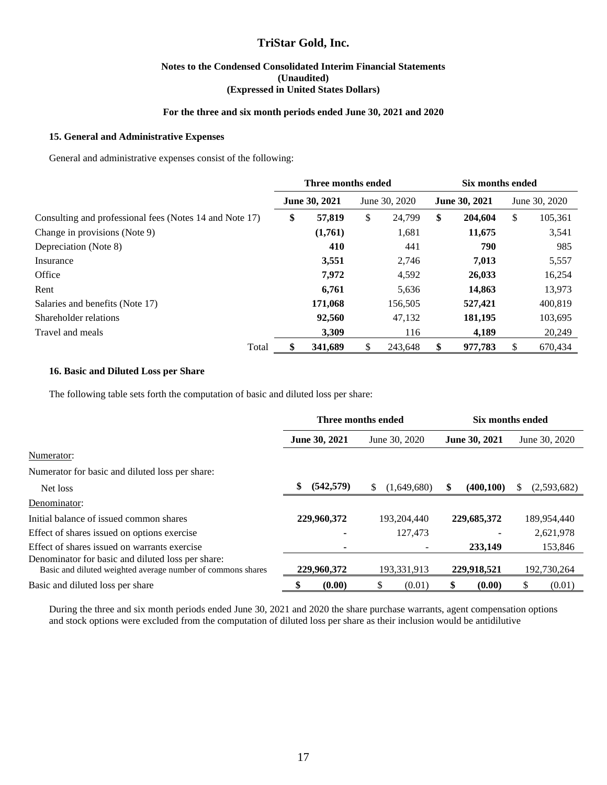#### **Notes to the Condensed Consolidated Interim Financial Statements (Unaudited) (Expressed in United States Dollars)**

#### **For the three and six month periods ended June 30, 2021 and 2020**

#### **15. General and Administrative Expenses**

General and administrative expenses consist of the following:

|                                                         | Three months ended   |         |               |         | Six months ended     |         |               |         |
|---------------------------------------------------------|----------------------|---------|---------------|---------|----------------------|---------|---------------|---------|
|                                                         | <b>June 30, 2021</b> |         | June 30, 2020 |         | <b>June 30, 2021</b> |         | June 30, 2020 |         |
| Consulting and professional fees (Notes 14 and Note 17) | \$                   | 57,819  | \$            | 24,799  | \$                   | 204,604 | \$            | 105,361 |
| Change in provisions (Note 9)                           |                      | (1,761) |               | 1,681   |                      | 11,675  |               | 3,541   |
| Depreciation (Note 8)                                   |                      | 410     |               | 441     |                      | 790     |               | 985     |
| Insurance                                               |                      | 3,551   |               | 2,746   |                      | 7,013   |               | 5,557   |
| Office                                                  |                      | 7,972   |               | 4,592   |                      | 26,033  |               | 16,254  |
| Rent                                                    |                      | 6,761   |               | 5,636   |                      | 14,863  |               | 13,973  |
| Salaries and benefits (Note 17)                         |                      | 171,068 |               | 156,505 |                      | 527,421 |               | 400,819 |
| Shareholder relations                                   |                      | 92,560  |               | 47,132  |                      | 181,195 |               | 103,695 |
| Travel and meals                                        |                      | 3.309   |               | 116     |                      | 4,189   |               | 20,249  |
| Total                                                   |                      | 341,689 | S             | 243.648 | \$                   | 977,783 | \$            | 670,434 |

#### **16. Basic and Diluted Loss per Share**

The following table sets forth the computation of basic and diluted loss per share:

|                                                                                                                  |                          | Three months ended | Six months ended |               |  |  |
|------------------------------------------------------------------------------------------------------------------|--------------------------|--------------------|------------------|---------------|--|--|
|                                                                                                                  | June 30, 2021            | June 30, 2020      | June 30, 2021    | June 30, 2020 |  |  |
| Numerator:                                                                                                       |                          |                    |                  |               |  |  |
| Numerator for basic and diluted loss per share:                                                                  |                          |                    |                  |               |  |  |
| Net loss                                                                                                         | \$<br>(542, 579)         | \$<br>(1,649,680)  | \$<br>(400, 100) | (2,593,682)   |  |  |
| Denominator:                                                                                                     |                          |                    |                  |               |  |  |
| Initial balance of issued common shares                                                                          | 229,960,372              | 193,204,440        | 229,685,372      | 189,954,440   |  |  |
| Effect of shares issued on options exercise                                                                      |                          | 127,473            |                  | 2,621,978     |  |  |
| Effect of shares issued on warrants exercise                                                                     | $\overline{\phantom{a}}$ |                    | 233,149          | 153,846       |  |  |
| Denominator for basic and diluted loss per share:<br>Basic and diluted weighted average number of commons shares | 229,960,372              | 193,331,913        | 229,918,521      | 192,730,264   |  |  |
| Basic and diluted loss per share                                                                                 | (0.00)                   | (0.01)<br>ъ.       | (0.00)           | (0.01)        |  |  |

During the three and six month periods ended June 30, 2021 and 2020 the share purchase warrants, agent compensation options and stock options were excluded from the computation of diluted loss per share as their inclusion would be antidilutive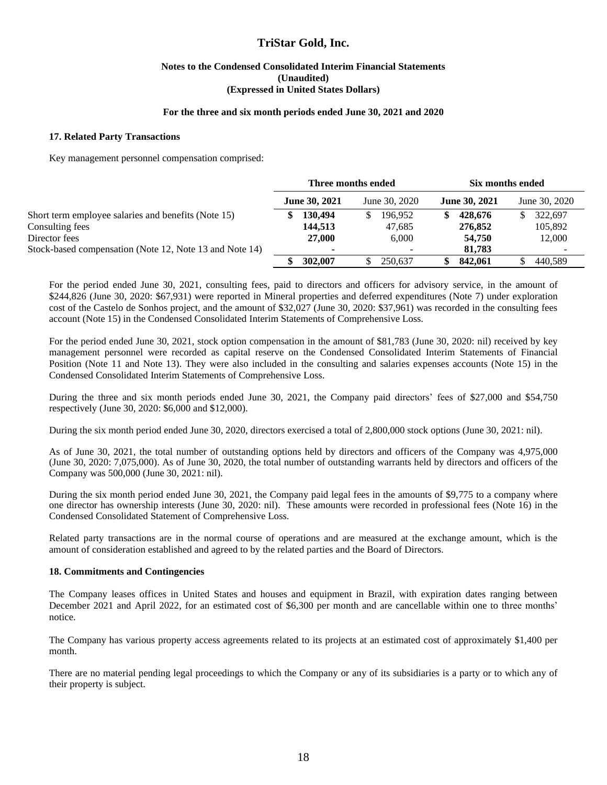#### **Notes to the Condensed Consolidated Interim Financial Statements (Unaudited) (Expressed in United States Dollars)**

#### **For the three and six month periods ended June 30, 2021 and 2020**

#### **17. Related Party Transactions**

Key management personnel compensation comprised:

|                                                         | Three months ended |                      |  | Six months ended |   |                      |                          |
|---------------------------------------------------------|--------------------|----------------------|--|------------------|---|----------------------|--------------------------|
|                                                         |                    | <b>June 30, 2021</b> |  | June 30, 2020    |   | <b>June 30, 2021</b> | June 30, 2020            |
| Short term employee salaries and benefits (Note 15)     |                    | 130,494              |  | 196.952          | S | 428,676              | 322.697                  |
| Consulting fees                                         |                    | 144,513              |  | 47,685           |   | 276,852              | 105.892                  |
| Director fees                                           |                    | 27,000               |  | 6.000            |   | 54,750               | 12,000                   |
| Stock-based compensation (Note 12, Note 13 and Note 14) |                    |                      |  |                  |   | 81,783               | $\overline{\phantom{a}}$ |
|                                                         |                    | 302,007              |  | 250.637          |   | 842,061              | 440.589                  |

For the period ended June 30, 2021, consulting fees, paid to directors and officers for advisory service, in the amount of \$244,826 (June 30, 2020: \$67,931) were reported in Mineral properties and deferred expenditures (Note 7) under exploration cost of the Castelo de Sonhos project, and the amount of \$32,027 (June 30, 2020: \$37,961) was recorded in the consulting fees account (Note 15) in the Condensed Consolidated Interim Statements of Comprehensive Loss.

For the period ended June 30, 2021, stock option compensation in the amount of \$81,783 (June 30, 2020: nil) received by key management personnel were recorded as capital reserve on the Condensed Consolidated Interim Statements of Financial Position (Note 11 and Note 13). They were also included in the consulting and salaries expenses accounts (Note 15) in the Condensed Consolidated Interim Statements of Comprehensive Loss.

During the three and six month periods ended June 30, 2021, the Company paid directors' fees of \$27,000 and \$54,750 respectively (June 30, 2020: \$6,000 and \$12,000).

During the six month period ended June 30, 2020, directors exercised a total of 2,800,000 stock options (June 30, 2021: nil).

As of June 30, 2021, the total number of outstanding options held by directors and officers of the Company was 4,975,000 (June 30, 2020: 7,075,000). As of June 30, 2020, the total number of outstanding warrants held by directors and officers of the Company was 500,000 (June 30, 2021: nil).

During the six month period ended June 30, 2021, the Company paid legal fees in the amounts of \$9,775 to a company where one director has ownership interests (June 30, 2020: nil). These amounts were recorded in professional fees (Note 16) in the Condensed Consolidated Statement of Comprehensive Loss.

Related party transactions are in the normal course of operations and are measured at the exchange amount, which is the amount of consideration established and agreed to by the related parties and the Board of Directors.

#### **18. Commitments and Contingencies**

The Company leases offices in United States and houses and equipment in Brazil, with expiration dates ranging between December 2021 and April 2022, for an estimated cost of \$6,300 per month and are cancellable within one to three months' notice.

The Company has various property access agreements related to its projects at an estimated cost of approximately \$1,400 per month.

There are no material pending legal proceedings to which the Company or any of its subsidiaries is a party or to which any of their property is subject.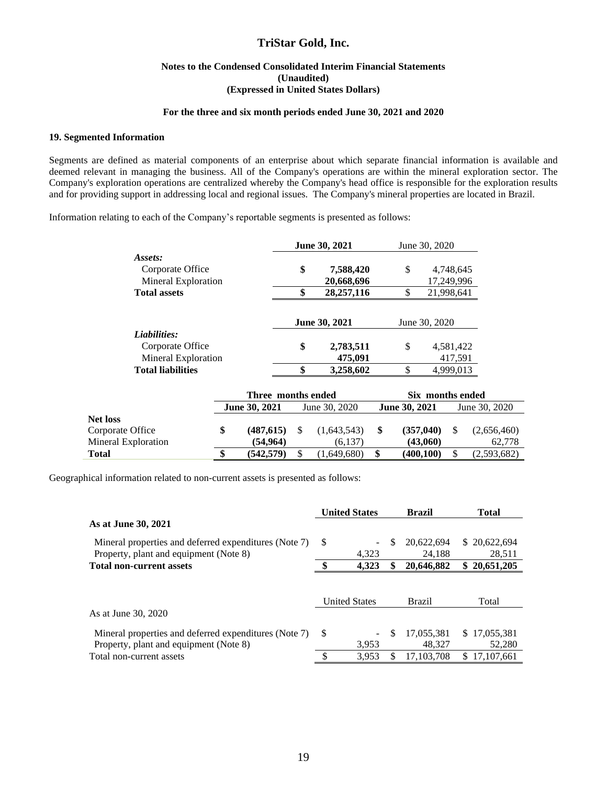#### **Notes to the Condensed Consolidated Interim Financial Statements (Unaudited) (Expressed in United States Dollars)**

#### **For the three and six month periods ended June 30, 2021 and 2020**

#### **19. Segmented Information**

Segments are defined as material components of an enterprise about which separate financial information is available and deemed relevant in managing the business. All of the Company's operations are within the mineral exploration sector. The Company's exploration operations are centralized whereby the Company's head office is responsible for the exploration results and for providing support in addressing local and regional issues. The Company's mineral properties are located in Brazil.

Information relating to each of the Company's reportable segments is presented as follows:

|                             | June 30, 2021      |                      |            | June 30, 2020        |               |                  |  |
|-----------------------------|--------------------|----------------------|------------|----------------------|---------------|------------------|--|
| Assets:<br>Corporate Office | \$                 |                      | 7,588,420  | S                    |               | 4,748,645        |  |
| Mineral Exploration         |                    |                      | 20,668,696 |                      |               | 17,249,996       |  |
| <b>Total assets</b>         | \$                 |                      | 28,257,116 |                      |               | 21.998.641       |  |
|                             |                    | <b>June 30, 2021</b> |            |                      | June 30, 2020 |                  |  |
| Liabilities:                |                    |                      |            |                      |               |                  |  |
| Corporate Office            | \$                 |                      | 2,783,511  | \$                   |               | 4,581,422        |  |
| Mineral Exploration         |                    |                      | 475,091    |                      |               | 417,591          |  |
| <b>Total liabilities</b>    | \$                 |                      | 3,258,602  | \$                   |               | 4,999,013        |  |
|                             | Three months ended |                      |            |                      |               | Six months ended |  |
| <b>June 30, 2021</b>        |                    | June 30, 2020        |            | <b>June 30, 2021</b> |               | June 30, 2020    |  |

|                                                     | June 30, 2021         | June 30, 2020          | <b>June 30, 2021</b>  | June 30, 2020         |
|-----------------------------------------------------|-----------------------|------------------------|-----------------------|-----------------------|
| Net loss<br>Corporate Office<br>Mineral Exploration | (487.615)<br>(54,964) | (1.643.543)<br>(6.137) | (357.040)<br>(43,060) | (2,656,460)<br>62.778 |
|                                                     |                       |                        |                       |                       |
| Total                                               | (542.579)             | (1,649,680)            | (400.100)             | (2,593,682)           |
|                                                     |                       |                        |                       |                       |

Geographical information related to non-current assets is presented as follows:

|                                                       |     | <b>United States</b> |    | <b>Brazil</b> | <b>Total</b>     |  |
|-------------------------------------------------------|-----|----------------------|----|---------------|------------------|--|
| As at June 30, 2021                                   |     |                      |    |               |                  |  |
| Mineral properties and deferred expenditures (Note 7) | S   |                      | S  | 20,622,694    | \$20,622,694     |  |
| Property, plant and equipment (Note 8)                |     | 4.323                |    | 24.188        | 28,511           |  |
| <b>Total non-current assets</b>                       | ¢   | 4.323                | \$ | 20,646,882    | 20,651,205<br>\$ |  |
|                                                       |     | <b>United States</b> |    | <b>Brazil</b> | Total            |  |
| As at June 30, 2020                                   |     |                      |    |               |                  |  |
| Mineral properties and deferred expenditures (Note 7) | \$. |                      | S  | 17,055,381    | \$17,055,381     |  |
| Property, plant and equipment (Note 8)                |     | 3.953                |    | 48.327        | 52,280           |  |
| Total non-current assets                              | ¢   | 3.953                | \$ | 17.103.708    | 17.107.661       |  |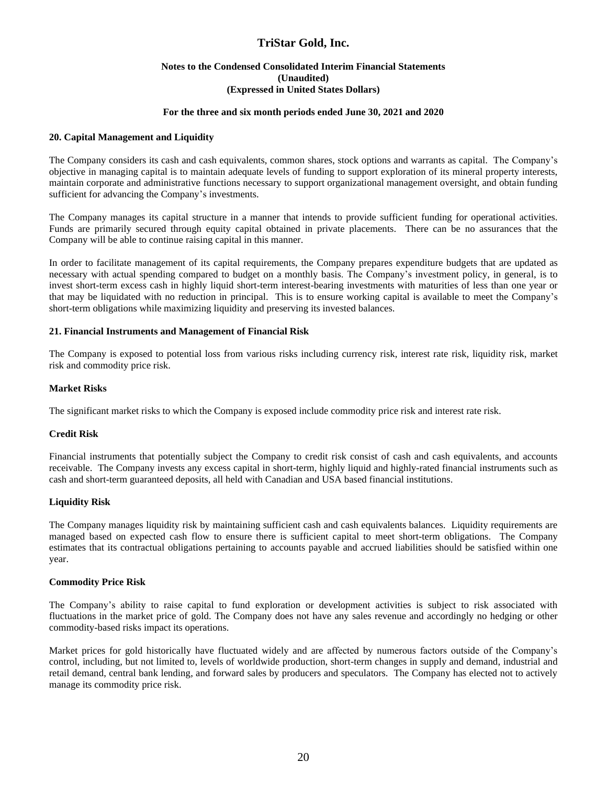#### **Notes to the Condensed Consolidated Interim Financial Statements (Unaudited) (Expressed in United States Dollars)**

#### **For the three and six month periods ended June 30, 2021 and 2020**

#### **20. Capital Management and Liquidity**

The Company considers its cash and cash equivalents, common shares, stock options and warrants as capital. The Company's objective in managing capital is to maintain adequate levels of funding to support exploration of its mineral property interests, maintain corporate and administrative functions necessary to support organizational management oversight, and obtain funding sufficient for advancing the Company's investments.

The Company manages its capital structure in a manner that intends to provide sufficient funding for operational activities. Funds are primarily secured through equity capital obtained in private placements. There can be no assurances that the Company will be able to continue raising capital in this manner.

In order to facilitate management of its capital requirements, the Company prepares expenditure budgets that are updated as necessary with actual spending compared to budget on a monthly basis. The Company's investment policy, in general, is to invest short-term excess cash in highly liquid short-term interest-bearing investments with maturities of less than one year or that may be liquidated with no reduction in principal. This is to ensure working capital is available to meet the Company's short-term obligations while maximizing liquidity and preserving its invested balances.

#### **21. Financial Instruments and Management of Financial Risk**

The Company is exposed to potential loss from various risks including currency risk, interest rate risk, liquidity risk, market risk and commodity price risk.

#### **Market Risks**

The significant market risks to which the Company is exposed include commodity price risk and interest rate risk.

#### **Credit Risk**

Financial instruments that potentially subject the Company to credit risk consist of cash and cash equivalents, and accounts receivable. The Company invests any excess capital in short-term, highly liquid and highly-rated financial instruments such as cash and short-term guaranteed deposits, all held with Canadian and USA based financial institutions.

#### **Liquidity Risk**

The Company manages liquidity risk by maintaining sufficient cash and cash equivalents balances. Liquidity requirements are managed based on expected cash flow to ensure there is sufficient capital to meet short-term obligations. The Company estimates that its contractual obligations pertaining to accounts payable and accrued liabilities should be satisfied within one year.

#### **Commodity Price Risk**

The Company's ability to raise capital to fund exploration or development activities is subject to risk associated with fluctuations in the market price of gold. The Company does not have any sales revenue and accordingly no hedging or other commodity-based risks impact its operations.

Market prices for gold historically have fluctuated widely and are affected by numerous factors outside of the Company's control, including, but not limited to, levels of worldwide production, short-term changes in supply and demand, industrial and retail demand, central bank lending, and forward sales by producers and speculators. The Company has elected not to actively manage its commodity price risk.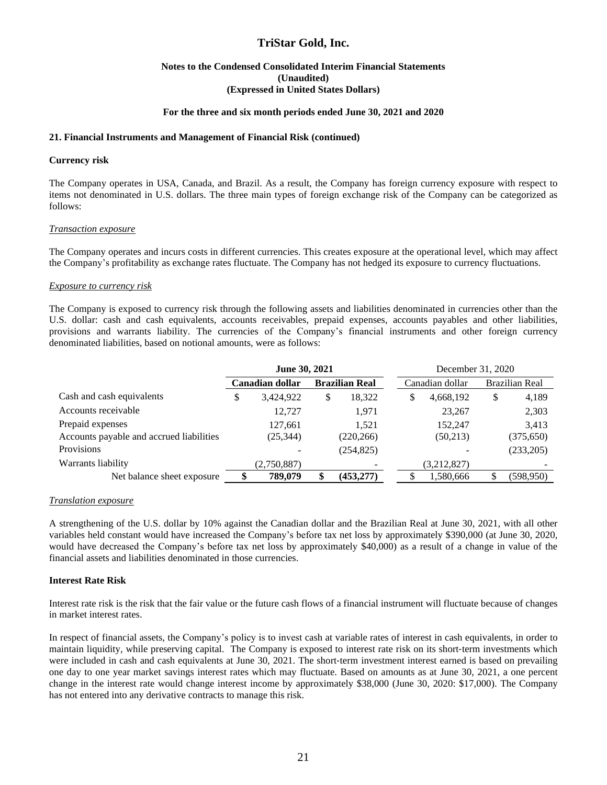#### **Notes to the Condensed Consolidated Interim Financial Statements (Unaudited) (Expressed in United States Dollars)**

#### **For the three and six month periods ended June 30, 2021 and 2020**

#### **21. Financial Instruments and Management of Financial Risk (continued)**

#### **Currency risk**

The Company operates in USA, Canada, and Brazil. As a result, the Company has foreign currency exposure with respect to items not denominated in U.S. dollars. The three main types of foreign exchange risk of the Company can be categorized as follows:

#### *Transaction exposure*

The Company operates and incurs costs in different currencies. This creates exposure at the operational level, which may affect the Company's profitability as exchange rates fluctuate. The Company has not hedged its exposure to currency fluctuations.

#### *Exposure to currency risk*

The Company is exposed to currency risk through the following assets and liabilities denominated in currencies other than the U.S. dollar: cash and cash equivalents, accounts receivables, prepaid expenses, accounts payables and other liabilities, provisions and warrants liability. The currencies of the Company's financial instruments and other foreign currency denominated liabilities, based on notional amounts, were as follows:

|                                          | June 30, 2021   |             |                       | December 31, 2020 |                 |             |    |                |
|------------------------------------------|-----------------|-------------|-----------------------|-------------------|-----------------|-------------|----|----------------|
|                                          | Canadian dollar |             | <b>Brazilian Real</b> |                   | Canadian dollar |             |    | Brazilian Real |
| Cash and cash equivalents                | \$              | 3,424,922   | \$                    | 18,322            | S               | 4,668,192   | \$ | 4,189          |
| Accounts receivable                      |                 | 12,727      |                       | 1,971             |                 | 23,267      |    | 2,303          |
| Prepaid expenses                         |                 | 127,661     |                       | 1.521             |                 | 152.247     |    | 3,413          |
| Accounts payable and accrued liabilities |                 | (25, 344)   |                       | (220, 266)        |                 | (50,213)    |    | (375, 650)     |
| Provisions                               |                 |             |                       | (254, 825)        |                 |             |    | (233,205)      |
| Warrants liability                       |                 | (2,750,887) |                       |                   |                 | (3,212,827) |    |                |
| Net balance sheet exposure               | \$              | 789,079     |                       | (453, 277)        |                 | 1,580,666   |    | (598,950)      |

#### *Translation exposure*

A strengthening of the U.S. dollar by 10% against the Canadian dollar and the Brazilian Real at June 30, 2021, with all other variables held constant would have increased the Company's before tax net loss by approximately \$390,000 (at June 30, 2020, would have decreased the Company's before tax net loss by approximately \$40,000) as a result of a change in value of the financial assets and liabilities denominated in those currencies.

#### **Interest Rate Risk**

Interest rate risk is the risk that the fair value or the future cash flows of a financial instrument will fluctuate because of changes in market interest rates.

In respect of financial assets, the Company's policy is to invest cash at variable rates of interest in cash equivalents, in order to maintain liquidity, while preserving capital. The Company is exposed to interest rate risk on its short-term investments which were included in cash and cash equivalents at June 30, 2021. The short-term investment interest earned is based on prevailing one day to one year market savings interest rates which may fluctuate. Based on amounts as at June 30, 2021, a one percent change in the interest rate would change interest income by approximately \$38,000 (June 30, 2020: \$17,000). The Company has not entered into any derivative contracts to manage this risk.